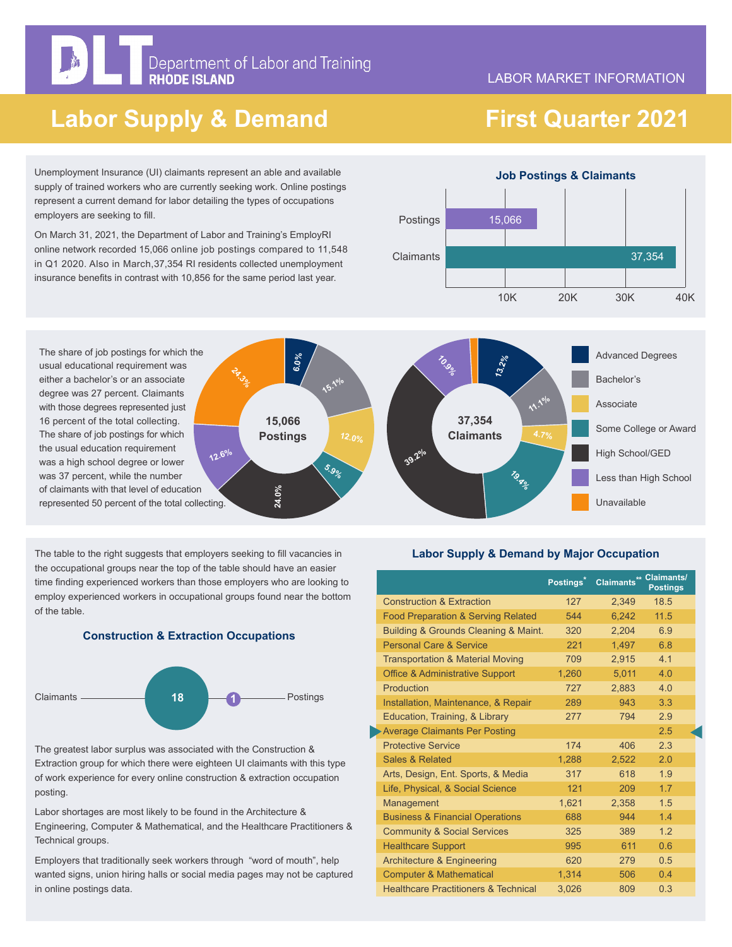# Department of Labor and Training<br>RHODE ISLAND

#### LABOR MARKET INFORMATION

## **Labor Supply & Demand**

 **First Quarter 2021**

Advanced Degrees

Some College or Award

Less than High School

High School/GED

Unavailable

Bachelor's

Associate

Unemployment Insurance (UI) claimants represent an able and available supply of trained workers who are currently seeking work. Online postings represent a current demand for labor detailing the types of occupations employers are seeking to fill.

On March 31, 2021, the Department of Labor and Training's EmployRI online network recorded 15,066 online job postings compared to 11,548 in Q1 2020. Also in March,37,354 RI residents collected unemployment insurance benefits in contrast with 10,856 for the same period last year.



The share of job postings for which the usual educational requirement was either a bachelor's or an associate degree was 27 percent. Claimants with those degrees represented just 16 percent of the total collecting. The share of job postings for which the usual education requirement was a high school degree or lower was 37 percent, while the number of claimants with that level of education represented 50 percent of the total collecting. **12.6%**

The table to the right suggests that employers seeking to fill vacancies in the occupational groups near the top of the table should have an easier time finding experienced workers than those employers who are looking to employ experienced workers in occupational groups found near the bottom of the table.

**15,066 Postings**

**24.0%**

**6.0%**

**24.3%** 





The greatest labor surplus was associated with the Construction & Extraction group for which there were eighteen UI claimants with this type of work experience for every online construction & extraction occupation posting.

Labor shortages are most likely to be found in the Architecture & Engineering, Computer & Mathematical, and the Healthcare Practitioners & Technical groups.

Employers that traditionally seek workers through "word of mouth", help wanted signs, union hiring halls or social media pages may not be captured in online postings data.

### **Labor Supply & Demand by Major Occupation**

**11.1%**

**19.96** 

**37,354 Claimants**

**10.9%**

**39.2%**

**12.0%**

**15.1%** 

**5.9%**

**13.2%**

|                                                 | Postings <sup>*</sup> | Claimants** Claimants/ | <b>Postings</b> |
|-------------------------------------------------|-----------------------|------------------------|-----------------|
| <b>Construction &amp; Extraction</b>            | 127                   | 2,349                  | 18.5            |
| <b>Food Preparation &amp; Serving Related</b>   | 544                   | 6.242                  | 11.5            |
| Building & Grounds Cleaning & Maint.            | 320                   | 2.204                  | 6.9             |
| <b>Personal Care &amp; Service</b>              | 221                   | 1,497                  | 6.8             |
| <b>Transportation &amp; Material Moving</b>     | 709                   | 2.915                  | 41              |
| <b>Office &amp; Administrative Support</b>      | 1,260                 | 5.011                  | 40              |
| Production                                      | 727                   | 2.883                  | 4.0             |
| Installation, Maintenance, & Repair             | 289                   | 943                    | 3 <sub>3</sub>  |
| Education, Training, & Library                  | 277                   | 794                    | 2.9             |
| <b>Average Claimants Per Posting</b>            |                       |                        | 2.5             |
| <b>Protective Service</b>                       | 174                   | 406                    | 2.3             |
| Sales & Related                                 | 1,288                 | 2.522                  | 2.0             |
| Arts, Design, Ent. Sports, & Media              | 317                   | 618                    | 19              |
| Life, Physical, & Social Science                | 121                   | 209                    | 1.7             |
| Management                                      | 1,621                 | 2,358                  | 1.5             |
| <b>Business &amp; Financial Operations</b>      | 688                   | 944                    | 14              |
| <b>Community &amp; Social Services</b>          | 325                   | 389                    | 12              |
| <b>Healthcare Support</b>                       | 995                   | 611                    | 06              |
| <b>Architecture &amp; Engineering</b>           | 620                   | 279                    | 0.5             |
| <b>Computer &amp; Mathematical</b>              | 1.314                 | 506                    | 0.4             |
| <b>Healthcare Practitioners &amp; Technical</b> | 3,026                 | 809                    | 0.3             |